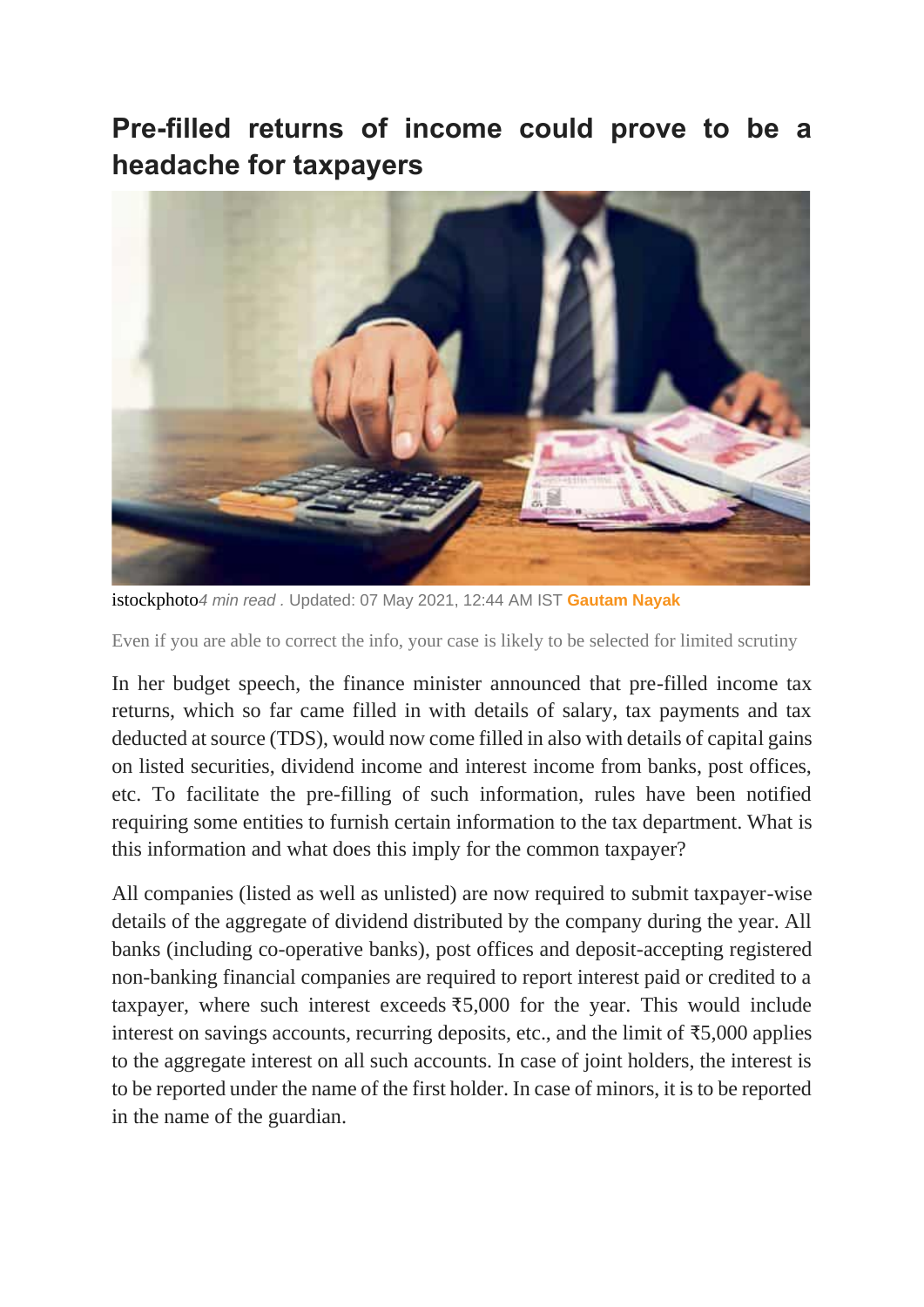## **Pre-filled returns of income could prove to be a headache for taxpayers**



istockphoto*4 min read .* Updated: 07 May 2021, 12:44 AM IST **Gautam Nayak**

Even if you are able to correct the info, your case is likely to be selected for limited scrutiny

In her budget speech, the finance minister announced that pre-filled income tax returns, which so far came filled in with details of salary, tax payments and tax deducted at source (TDS), would now come filled in also with details of capital gains on listed securities, dividend income and interest income from banks, post offices, etc. To facilitate the pre-filling of such information, rules have been notified requiring some entities to furnish certain information to the tax department. What is this information and what does this imply for the common taxpayer?

All companies (listed as well as unlisted) are now required to submit taxpayer-wise details of the aggregate of dividend distributed by the company during the year. All banks (including co-operative banks), post offices and deposit-accepting registered non-banking financial companies are required to report interest paid or credited to a taxpayer, where such interest exceeds  $\overline{5,000}$  for the year. This would include interest on savings accounts, recurring deposits, etc., and the limit of ₹5,000 applies to the aggregate interest on all such accounts. In case of joint holders, the interest is to be reported under the name of the first holder. In case of minors, it is to be reported in the name of the guardian.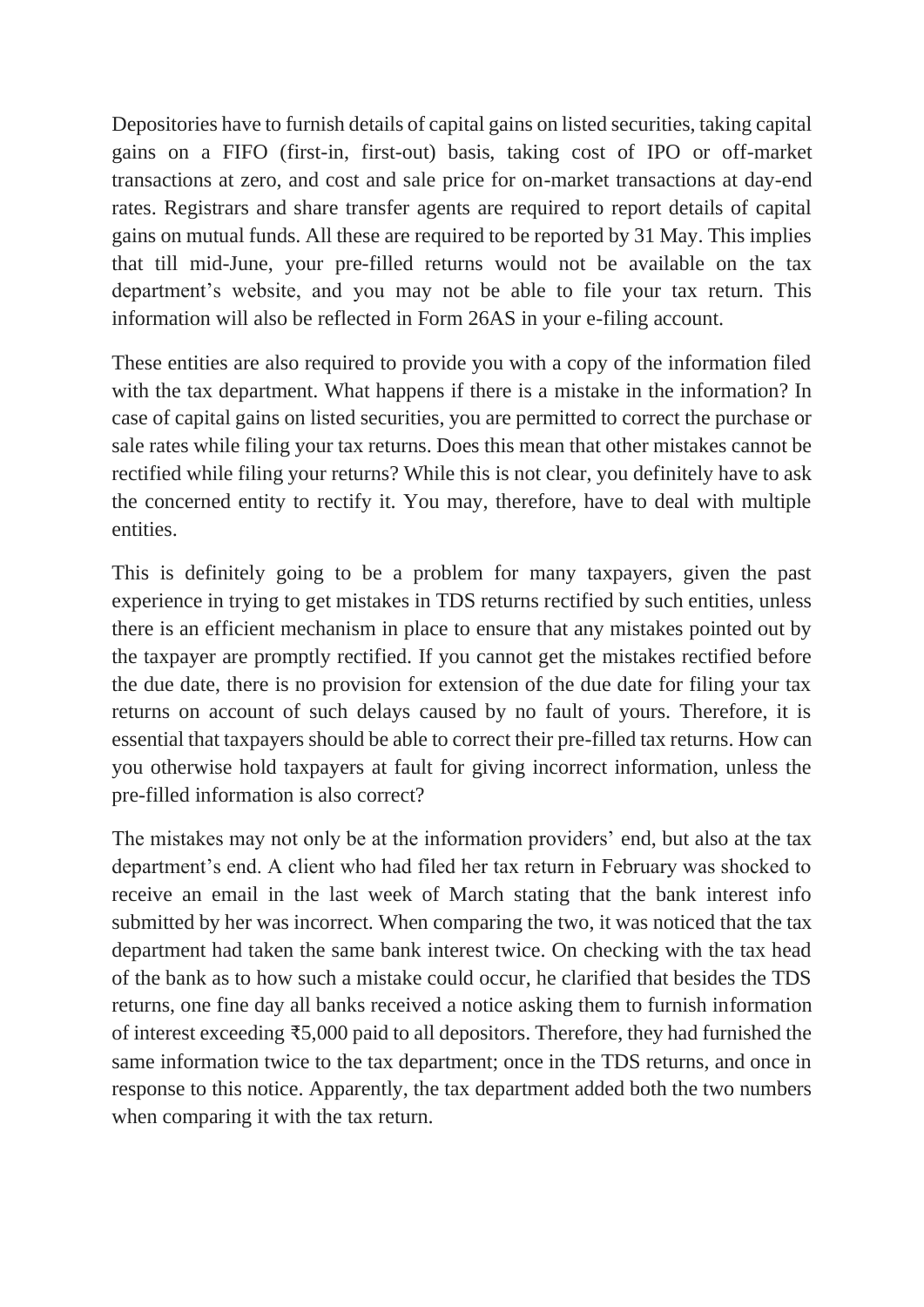Depositories have to furnish details of capital gains on listed securities, taking capital gains on a FIFO (first-in, first-out) basis, taking cost of IPO or off-market transactions at zero, and cost and sale price for on-market transactions at day-end rates. Registrars and share transfer agents are required to report details of capital gains on mutual funds. All these are required to be reported by 31 May. This implies that till mid-June, your pre-filled returns would not be available on the tax department's website, and you may not be able to file your tax return. This information will also be reflected in Form 26AS in your e-filing account.

These entities are also required to provide you with a copy of the information filed with the tax department. What happens if there is a mistake in the information? In case of capital gains on listed securities, you are permitted to correct the purchase or sale rates while filing your tax returns. Does this mean that other mistakes cannot be rectified while filing your returns? While this is not clear, you definitely have to ask the concerned entity to rectify it. You may, therefore, have to deal with multiple entities.

This is definitely going to be a problem for many taxpayers, given the past experience in trying to get mistakes in TDS returns rectified by such entities, unless there is an efficient mechanism in place to ensure that any mistakes pointed out by the taxpayer are promptly rectified. If you cannot get the mistakes rectified before the due date, there is no provision for extension of the due date for filing your tax returns on account of such delays caused by no fault of yours. Therefore, it is essential that taxpayers should be able to correct their pre-filled tax returns. How can you otherwise hold taxpayers at fault for giving incorrect information, unless the pre-filled information is also correct?

The mistakes may not only be at the information providers' end, but also at the tax department's end. A client who had filed her tax return in February was shocked to receive an email in the last week of March stating that the bank interest info submitted by her was incorrect. When comparing the two, it was noticed that the tax department had taken the same bank interest twice. On checking with the tax head of the bank as to how such a mistake could occur, he clarified that besides the TDS returns, one fine day all banks received a notice asking them to furnish information of interest exceeding ₹5,000 paid to all depositors. Therefore, they had furnished the same information twice to the tax department; once in the TDS returns, and once in response to this notice. Apparently, the tax department added both the two numbers when comparing it with the tax return.